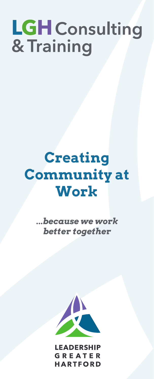# LGH Consulting<br>& Training

# **Creating Community at Work**

*...because we work better together*



**LEADERSHIP GREATER HARTFORD**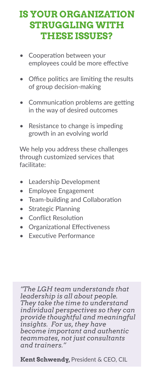## **IS YOUR ORGANIZATION STRUGGLING WITH THESE ISSUES?**

- Cooperation between your employees could be more effective
- Office politics are limiting the results of group decision-making
- Communication problems are getting in the way of desired outcomes
- Resistance to change is impeding growth in an evolving world

We help you address these challenges through customized services that facilitate:

- **Leadership Development**
- Employee Engagement
- Team-building and Collaboration
- Strategic Planning
- Conflict Resolution
- Organizational Effectiveness
- Executive Performance

*"The LGH team understands that leadership is all about people. They take the time to understand individual perspectives so they can provide thoughtful and meaningful insights. For us, they have become important and authentic teammates, not just consultants and trainers."*

**Kent Schwendy,** President & CEO, CIL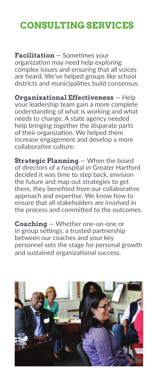# **CONSULTING SERVICES**

**Facilitation** — Sometimes your organization may need help exploring complex issues and ensuring that all voices are heard. We've helped groups like school districts and municipalities build consensus.

**Organizational Effectiveness** — Help your leadership team gain a more complete understanding of what is working and what needs to change. A state agency needed help bringing together the disparate parts of their organization. We helped them increase engagement and develop a more collaborative culture.

**Strategic Planning** - When the board of directors of a hospital in Greater Hartford decided it was time to step back, envision the future and map out strategies to get there, they benefited from our collaborative approach and expertise. We know how to ensure that all stakeholders are involved in the process and committed to the outcomes.

**Coaching** — Whether one-on-one or in group settings, a trusted partnership between our coaches and your key personnel sets the stage for personal growth and sustained organizational success.

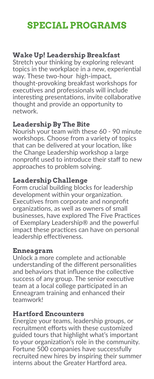## **SPECIAL PROGRAMS**

#### **Wake Up! Leadership Breakfast**

Stretch your thinking by exploring relevant topics in the workplace in a new, experiential way. These two-hour high-impact, thought-provoking breakfast workshops for executives and professionals will include interesting presentations, invite collaborative thought and provide an opportunity to network.

#### **Leadership By The Bite**

Nourish your team with these 60 - 90 minute workshops. Choose from a variety of topics that can be delivered at your location, like the Change Leadership workshop a large nonprofit used to introduce their staff to new approaches to problem solving.

#### **Leadership Challenge**

Form crucial building blocks for leadership development within your organization. Executives from corporate and nonprofit organizations, as well as owners of small businesses, have explored The Five Practices of Exemplary Leadership® and the powerful impact these practices can have on personal leadership effectiveness.

#### **Enneagram**

Unlock a more complete and actionable understanding of the different personalities and behaviors that influence the collective success of any group. The senior executive team at a local college participated in an Enneagram training and enhanced their teamwork!

#### **Hartford Encounters**

Energize your teams, leadership groups, or recruitment efforts with these customized guided tours that highlight what's important to your organization's role in the community. Fortune 500 companies have successfully recruited new hires by inspiring their summer interns about the Greater Hartford area.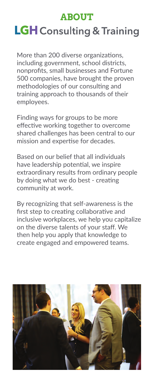### **ABOUT**

# **LGH** Consulting & Training

More than 200 diverse organizations, including government, school districts, nonprofits, small businesses and Fortune 500 companies, have brought the proven methodologies of our consulting and training approach to thousands of their employees.

Finding ways for groups to be more effective working together to overcome shared challenges has been central to our mission and expertise for decades.

Based on our belief that all individuals have leadership potential, we inspire extraordinary results from ordinary people by doing what we do best - creating community at work.

By recognizing that self-awareness is the first step to creating collaborative and inclusive workplaces, we help you capitalize on the diverse talents of your staff. We then help you apply that knowledge to create engaged and empowered teams.